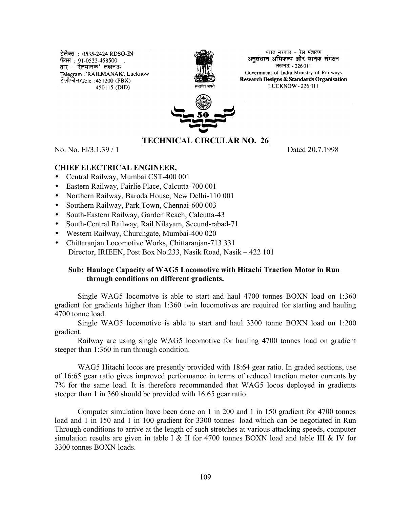टेलैक्स : 0535-2424 RDSO-IN फैक्स : 91-0522-458500 तार : 'रेलमानक' लखनऊ Telegram: 'RAILMANAK', Lucknow टेलीफोन/Tele : 451200 (PBX) 450115 (DID)



भारत सरकार - रेल मंत्रालय. अनसंधान अभिकल्प और मानक संगठन लखनऊ - 226011 Government of India-Ministry of Railways Research Designs & Standards Organisation LUCKNOW - 226 011



# **TECHNICAL CIRCULAR NO. 26**

No. No. El/3.1.39 / 1 Dated 20.7.1998

## **CHIEF ELECTRICAL ENGINEER,**

- Central Railway, Mumbai CST-400 001
- Eastern Railway, Fairlie Place, Calcutta-700 001
- Northern Railway, Baroda House, New Delhi-110 001
- Southern Railway, Park Town, Chennai-600 003
- South-Eastern Railway, Garden Reach, Calcutta-43
- South-Central Railway, Rail Nilayam, Secund-rabad-71
- Western Railway, Churchgate, Mumbai-400 020
- Chittaranjan Locomotive Works, Chittaranjan-713 331 Director, IRIEEN, Post Box No.233, Nasik Road, Nasik – 422 101

### **Sub: Haulage Capacity of WAG5 Locomotive with Hitachi Traction Motor in Run through conditions on different gradients.**

Single WAG5 locomotve is able to start and haul 4700 tonnes BOXN load on 1:360 gradient for gradients higher than 1:360 twin locomotives are required for starting and hauling 4700 tonne load.

Single WAG5 locomotive is able to start and haul 3300 tonne BOXN load on 1:200 gradient.

Railway are using single WAG5 locomotive for hauling 4700 tonnes load on gradient steeper than 1:360 in run through condition.

WAG5 Hitachi locos are presently provided with 18:64 gear ratio. In graded sections, use of 16:65 gear ratio gives improved performance in terms of reduced traction motor currents by 7% for the same load. It is therefore recommended that WAG5 locos deployed in gradients steeper than 1 in 360 should be provided with 16:65 gear ratio.

Computer simulation have been done on 1 in 200 and 1 in 150 gradient for 4700 tonnes load and 1 in 150 and 1 in 100 gradient for 3300 tonnes load which can be negotiated in Run Through conditions to arrive at the length of such stretches at various attacking speeds, computer simulation results are given in table I & II for 4700 tonnes BOXN load and table III & IV for 3300 tonnes BOXN loads.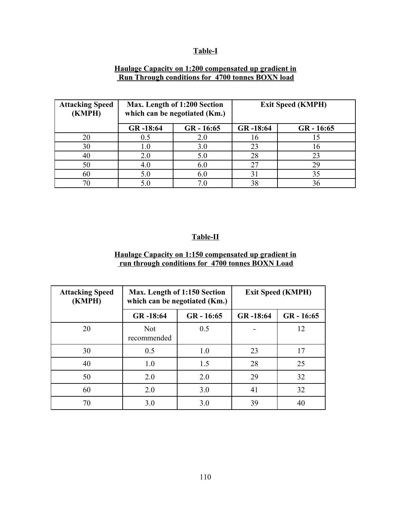# **Table-I**

#### **Haulage Capacity on 1:200 compensated up gradient in Run Through conditions for 4700 tonnes BOXN load**

| <b>Attacking Speed</b><br>(KMPH) | Max. Length of 1:200 Section<br>which can be negotiated (Km.) |              | <b>Exit Speed (KMPH)</b> |              |
|----------------------------------|---------------------------------------------------------------|--------------|--------------------------|--------------|
|                                  | GR-18:64                                                      | $GR - 16:65$ | GR-18:64                 | $GR - 16:65$ |
| 20                               | 0.5                                                           | 2.0          | 16                       |              |
| 30                               | 1.0                                                           | 3.0          | 23                       | 16           |
| 40                               | 2.0                                                           | 5.0          | 28                       | 23           |
| 50                               | 4.0                                                           | 6.0          | 27                       | 29           |
| 60                               | 5.0                                                           | 6.0          | 31                       | 35           |
| 70                               | 5.0                                                           |              | 38                       |              |

## **Table-II**

# **Haulage Capacity on 1:150 compensated up gradient in run through conditions for 4700 tonnes BOXN Load**

| <b>Attacking Speed</b><br>(KMPH) | Max. Length of 1:150 Section<br>which can be negotiated (Km.) |              | <b>Exit Speed (KMPH)</b> |              |
|----------------------------------|---------------------------------------------------------------|--------------|--------------------------|--------------|
|                                  | GR-18:64                                                      | $GR - 16:65$ | GR-18:64                 | $GR - 16:65$ |
| 20                               | <b>Not</b><br>recommended                                     | 0.5          |                          | 12           |
| 30                               | 0.5                                                           | 1.0          | 23                       | 17           |
| 40                               | 1.0                                                           | 1.5          | 28                       | 25           |
| 50                               | 2.0                                                           | 2.0          | 29                       | 32           |
| 60                               | 2.0                                                           | 3.0          | 41                       | 32           |
| 70                               | 3.0                                                           | 3.0          | 39                       | 40           |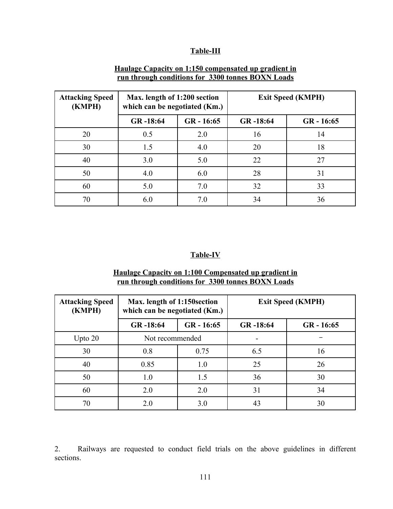# **Table-III**

| <b>Attacking Speed</b><br>(KMPH) | Max. length of 1:200 section<br>which can be negotiated (Km.) |              | <b>Exit Speed (KMPH)</b> |              |
|----------------------------------|---------------------------------------------------------------|--------------|--------------------------|--------------|
|                                  | GR-18:64                                                      | $GR - 16:65$ | GR-18:64                 | $GR - 16:65$ |
| 20                               | 0.5                                                           | 2.0          | 16                       | 14           |
| 30                               | 1.5                                                           | 4.0          | 20                       | 18           |
| 40                               | 3.0                                                           | 5.0          | 22                       | 27           |
| 50                               | 4.0                                                           | 6.0          | 28                       | 31           |
| 60                               | 5.0                                                           | 7.0          | 32                       | 33           |
| 70                               | 6.0                                                           | 7.0          | 34                       | 36           |

#### **Haulage Capacity on 1:150 compensated up gradient in run through conditions for 3300 tonnes BOXN Loads**

### **Table-IV**

| Haulage Capacity on 1:100 Compensated up gradient in |  |  |
|------------------------------------------------------|--|--|
| run through conditions for 3300 tonnes BOXN Loads    |  |  |

| <b>Attacking Speed</b><br>(KMPH) | Max. length of 1:150 section<br>which can be negotiated (Km.) |              | <b>Exit Speed (KMPH)</b> |              |
|----------------------------------|---------------------------------------------------------------|--------------|--------------------------|--------------|
|                                  | GR-18:64                                                      | $GR - 16:65$ | GR-18:64                 | $GR - 16:65$ |
| Upto $20$                        | Not recommended                                               |              |                          |              |
| 30                               | 0.8                                                           | 0.75         | 6.5                      | 16           |
| 40                               | 0.85                                                          | 1.0          | 25                       | 26           |
| 50                               | 1.0                                                           | 1.5          | 36                       | 30           |
| 60                               | 2.0                                                           | 2.0          | 31                       | 34           |
| 70                               | 2.0                                                           | 3.0          | 43                       | 30           |

2. Railways are requested to conduct field trials on the above guidelines in different sections.